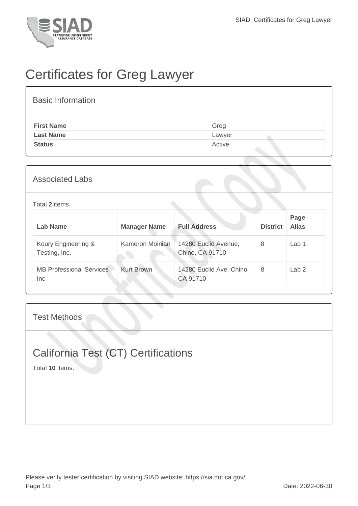

## Certificates for Greg Lawyer

| <b>Basic Information</b> |        |
|--------------------------|--------|
| <b>First Name</b>        | Greg   |
| <b>Last Name</b>         | Lawyer |
| <b>Status</b>            | Active |

| <b>Associated Labs</b> |  |
|------------------------|--|
|------------------------|--|

## Total **2** items.

| Lab Name                               | <b>Manager Name</b> | <b>Full Address</b>                     | <b>District</b> | Page<br><b>Alias</b> |
|----------------------------------------|---------------------|-----------------------------------------|-----------------|----------------------|
| Koury Engineering &<br>Testing, Inc.   | Kameron Moinian     | 14280 Euclid Avenue,<br>Chino, CA 91710 | 8               | Lab <sub>1</sub>     |
| <b>MB Professional Services</b><br>Inc | <b>Kurt Brown</b>   | 14280 Euclid Ave, Chino,<br>CA 91710    | 8               | Lab <sub>2</sub>     |

Test Methods

## California Test (CT) Certifications

Total **10** items.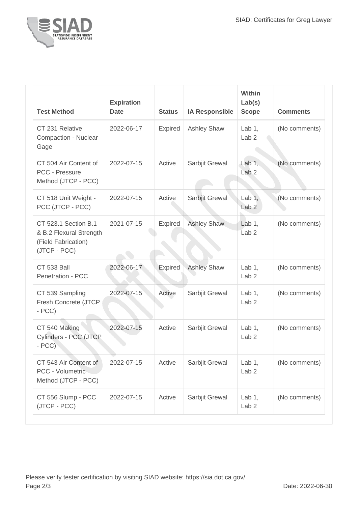

| <b>Test Method</b>                                                                     | <b>Expiration</b><br><b>Date</b> | <b>Status</b>  | <b>IA Responsible</b> | Within<br>Lab(s)<br><b>Scope</b> | <b>Comments</b> |
|----------------------------------------------------------------------------------------|----------------------------------|----------------|-----------------------|----------------------------------|-----------------|
| CT 231 Relative<br>Compaction - Nuclear<br>Gage                                        | 2022-06-17                       | Expired        | <b>Ashley Shaw</b>    | Lab $1,$<br>Lab <sub>2</sub>     | (No comments)   |
| CT 504 Air Content of<br>PCC - Pressure<br>Method (JTCP - PCC)                         | 2022-07-15                       | Active         | Sarbjit Grewal        | Lab $1,$<br>Lab <sub>2</sub>     | (No comments)   |
| CT 518 Unit Weight -<br>PCC (JTCP - PCC)                                               | 2022-07-15                       | Active         | Sarbjit Grewal        | Lab $1,$<br>Lab <sub>2</sub>     | (No comments)   |
| CT 523.1 Section B.1<br>& B.2 Flexural Strength<br>(Field Fabrication)<br>(JTCP - PCC) | 2021-07-15                       | <b>Expired</b> | <b>Ashley Shaw</b>    | Lab 1,<br>Lab <sub>2</sub>       | (No comments)   |
| <b>CT 533 Ball</b><br>Penetration - PCC                                                | 2022-06-17                       | Expired        | <b>Ashley Shaw</b>    | Lab $1$ ,<br>Lab <sub>2</sub>    | (No comments)   |
| CT 539 Sampling<br>Fresh Concrete (JTCP<br>$- PCC$                                     | 2022-07-15                       | Active         | Sarbjit Grewal        | Lab $1$ ,<br>Lab <sub>2</sub>    | (No comments)   |
| CT 540 Making<br>Cylinders - PCC (JTCP<br>$-PCC$                                       | 2022-07-15                       | Active         | Sarbjit Grewal        | Lab $1,$<br>Lab <sub>2</sub>     | (No comments)   |
| CT 543 Air Content of<br>PCC - Volumetric<br>Method (JTCP - PCC)                       | 2022-07-15                       | Active         | Sarbjit Grewal        | Lab 1,<br>Lab <sub>2</sub>       | (No comments)   |
| CT 556 Slump - PCC<br>(JTCP - PCC)                                                     | 2022-07-15                       | Active         | Sarbjit Grewal        | Lab $1,$<br>Lab <sub>2</sub>     | (No comments)   |